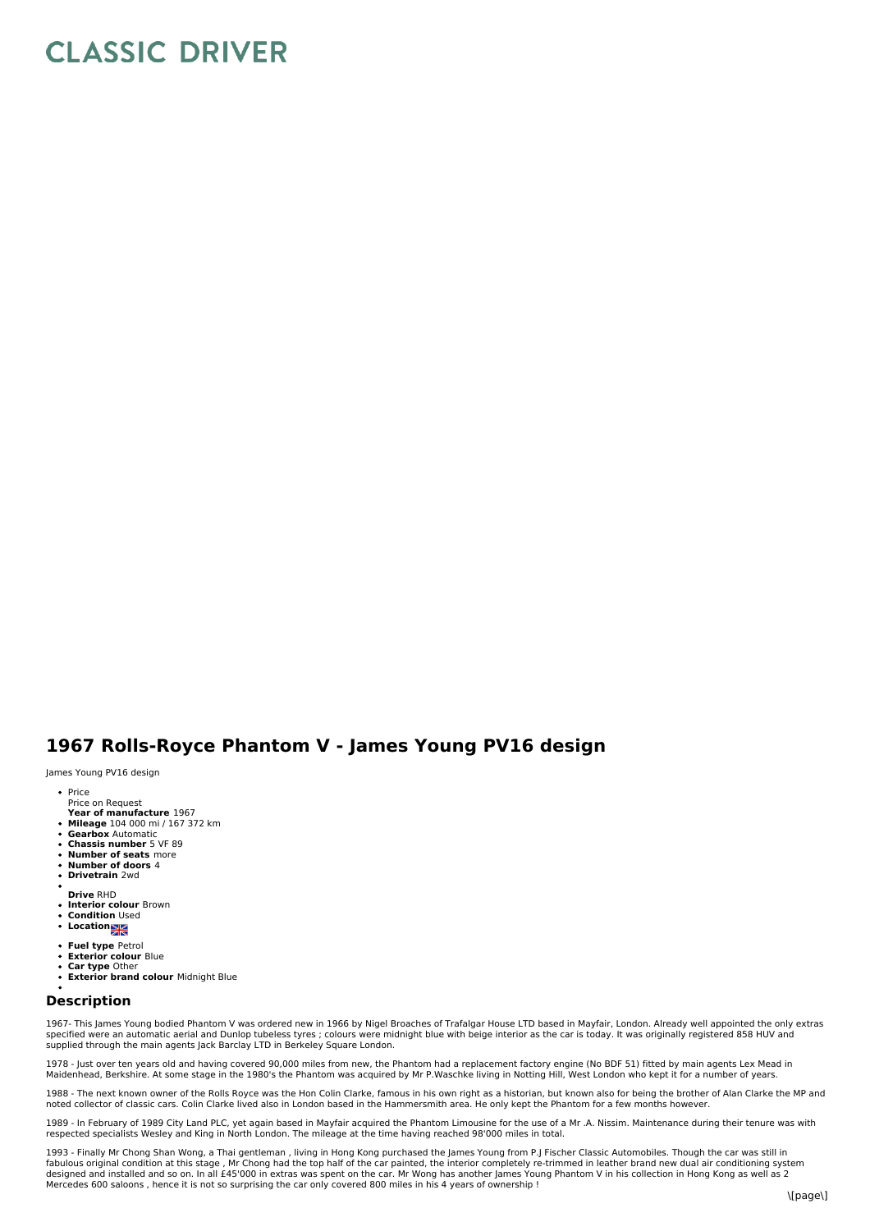## **CLASSIC DRIVER**

## **1967 Rolls-Royce Phantom V - James Young PV16 design**

James Young PV16 design

- Price Price on Request
- **Year of manufacture** 1967
- **Mileage** 104 000 mi / 167 372 km
- **Gearbox** Automatic
- **Chassis number** 5 VF 89
- **Number of seats** more **Number of doors** 4
- $\bullet$ **Drivetrain** 2wd
- 
- **Drive** RHD
- **Interior colour** Brown **Condition** Used
- **Location**
- 
- **Fuel type** Petrol **Exterior colour** Blue
- 
- **Car type** Other **Exterior brand colour** Midnight Blue

## **Description**

1967- This James Young bodied Phantom V was ordered new in 1966 by Nigel Broaches of Trafalgar House LTD based in Mayfair, London. Already well appointed the only extras<br>specified were an automatic aerial and Dunlop tubele supplied through the main agents Jack Barclay LTD in Berkeley Square London.

1978 - Just over ten years old and having covered 90,000 miles from new, the Phantom had a replacement factory engine (No BDF 51) fitted by main agents Lex Mead in<br>Maidenhead, Berkshire. At some stage in the 1980's the Pha

1988 - The next known owner of the Rolls Royce was the Hon Colin Clarke, famous in his own right as a historian, but known also for being the brother of Alan Clarke the MP and<br>noted collector of classic cars. Colin Clarke

1989 - In February of 1989 City Land PLC, yet again based in Mayfair acquired the Phantom Limousine for the use of a Mr .A. Nissim. Maintenance during their tenure was with<br>respected specialists Wesley and King in North Lo

1993 - Finally Mr Chong Shan Wong, a Thai gentleman , living in Hong Kong purchased the James Young from P.J Fischer Classic Automobiles. Though the car was still in<br>fabulous original condition at this stage , Mr Chong had Mercedes 600 saloons , hence it is not so surprising the car only covered 800 miles in his 4 years of ownership !